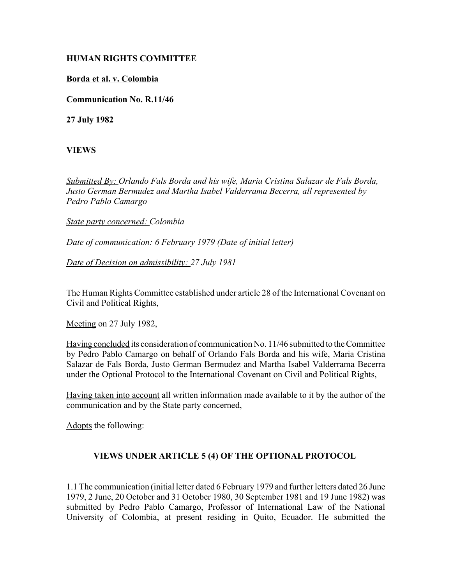## **HUMAN RIGHTS COMMITTEE**

## **Borda et al. v. Colombia**

**Communication No. R.11/46**

**27 July 1982**

**VIEWS**

*Submitted By: Orlando Fals Borda and his wife, Maria Cristina Salazar de Fals Borda, Justo German Bermudez and Martha Isabel Valderrama Becerra, all represented by Pedro Pablo Camargo* 

*State party concerned: Colombia* 

*Date of communication: 6 February 1979 (Date of initial letter)* 

*Date of Decision on admissibility: 27 July 1981*

The Human Rights Committee established under article 28 of the International Covenant on Civil and Political Rights,

Meeting on 27 July 1982,

Having concluded its consideration of communication No. 11/46 submitted to the Committee by Pedro Pablo Camargo on behalf of Orlando Fals Borda and his wife, Maria Cristina Salazar de Fals Borda, Justo German Bermudez and Martha Isabel Valderrama Becerra under the Optional Protocol to the International Covenant on Civil and Political Rights,

Having taken into account all written information made available to it by the author of the communication and by the State party concerned,

Adopts the following:

## **VIEWS UNDER ARTICLE 5 (4) OF THE OPTIONAL PROTOCOL**

1.1 The communication (initial letter dated 6 February 1979 and further letters dated 26 June 1979, 2 June, 20 October and 31 October 1980, 30 September 1981 and 19 June 1982) was submitted by Pedro Pablo Camargo, Professor of International Law of the National University of Colombia, at present residing in Quito, Ecuador. He submitted the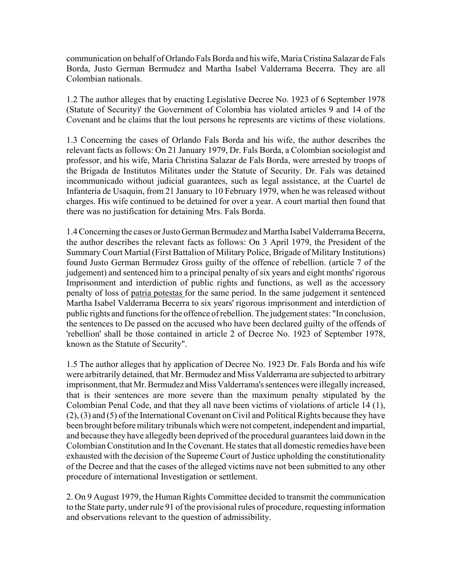communication on behalf of Orlando Fals Borda and his wife, Maria Cristina Salazar de Fals Borda, Justo German Bermudez and Martha Isabel Valderrama Becerra. They are all Colombian nationals.

1.2 The author alleges that by enacting Legislative Decree No. 1923 of 6 September 1978 (Statute of Security)' the Government of Colombia has violated articles 9 and 14 of the Covenant and he claims that the lout persons he represents are victims of these violations.

1.3 Concerning the cases of Orlando Fals Borda and his wife, the author describes the relevant facts as follows: On 21 January 1979, Dr. Fals Borda, a Colombian sociologist and professor, and his wife, Maria Christina Salazar de Fals Borda, were arrested by troops of the Brigada de Institutos Militates under the Statute of Security. Dr. Fals was detained incommunicado without judicial guarantees, such as legal assistance, at the Cuartel de Infanteria de Usaquin, from 21 January to 10 February 1979, when he was released without charges. His wife continued to be detained for over a year. A court martial then found that there was no justification for detaining Mrs. Fals Borda.

1.4 Concerning the cases or Justo German Bermudez and Martha Isabel Valderrama Becerra, the author describes the relevant facts as follows: On 3 April 1979, the President of the Summary Court Martial (First Battalion of Military Police, Brigade of Military Institutions) found Justo German Bermudez Gross guilty of the offence of rebellion. (article 7 of the judgement) and sentenced him to a principal penalty of six years and eight months' rigorous Imprisonment and interdiction of public rights and functions, as well as the accessory penalty of loss of patria potestas for the same period. In the same judgement it sentenced Martha Isabel Valderrama Becerra to six years' rigorous imprisonment and interdiction of public rights and functions for the offence of rebellion. The judgement states: "In conclusion, the sentences to De passed on the accused who have been declared guilty of the offends of 'rebellion' shall be those contained in article 2 of Decree No. 1923 of September 1978, known as the Statute of Security".

1.5 The author alleges that hy application of Decree No. 1923 Dr. Fals Borda and his wife were arbitrarily detained, that Mr. Bermudez and Miss Valderrama are subjected to arbitrary imprisonment, that Mr. Bermudez and Miss Valderrama's sentences were illegally increased, that is their sentences are more severe than the maximum penalty stipulated by the Colombian Penal Code, and that they all nave been victims of violations of article 14 (1), (2), (3) and (5) of the International Covenant on Civil and Political Rights because they have been brought before military tribunals which were not competent, independent and impartial, and because they have allegedly been deprived of the procedural guarantees laid down in the Colombian Constitution and In the Covenant. He states that all domestic remedies have been exhausted with the decision of the Supreme Court of Justice upholding the constitutionality of the Decree and that the cases of the alleged victims nave not been submitted to any other procedure of international Investigation or settlement.

2. On 9 August 1979, the Human Rights Committee decided to transmit the communication to the State party, under rule 91 of the provisional rules of procedure, requesting information and observations relevant to the question of admissibility.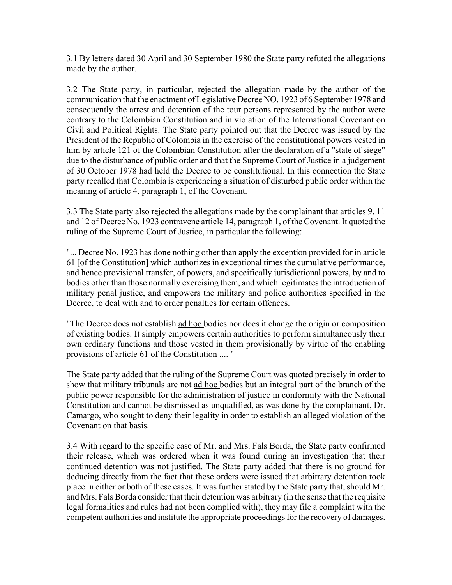3.1 By letters dated 30 April and 30 September 1980 the State party refuted the allegations made by the author.

3.2 The State party, in particular, rejected the allegation made by the author of the communication that the enactment of Legislative Decree NO. 1923 of 6 September 1978 and consequently the arrest and detention of the tour persons represented by the author were contrary to the Colombian Constitution and in violation of the International Covenant on Civil and Political Rights. The State party pointed out that the Decree was issued by the President of the Republic of Colombia in the exercise of the constitutional powers vested in him by article 121 of the Colombian Constitution after the declaration of a "state of siege" due to the disturbance of public order and that the Supreme Court of Justice in a judgement of 30 October 1978 had held the Decree to be constitutional. In this connection the State party recalled that Colombia is experiencing a situation of disturbed public order within the meaning of article 4, paragraph 1, of the Covenant.

3.3 The State party also rejected the allegations made by the complainant that articles 9, 11 and 12 of Decree No. 1923 contravene article 14, paragraph 1, of the Covenant. It quoted the ruling of the Supreme Court of Justice, in particular the following:

"... Decree No. 1923 has done nothing other than apply the exception provided for in article 61 [of the Constitution] which authorizes in exceptional times the cumulative performance, and hence provisional transfer, of powers, and specifically jurisdictional powers, by and to bodies other than those normally exercising them, and which legitimates the introduction of military penal justice, and empowers the military and police authorities specified in the Decree, to deal with and to order penalties for certain offences.

"The Decree does not establish ad hoc bodies nor does it change the origin or composition of existing bodies. It simply empowers certain authorities to perform simultaneously their own ordinary functions and those vested in them provisionally by virtue of the enabling provisions of article 61 of the Constitution .... "

The State party added that the ruling of the Supreme Court was quoted precisely in order to show that military tribunals are not ad hoc bodies but an integral part of the branch of the public power responsible for the administration of justice in conformity with the National Constitution and cannot be dismissed as unqualified, as was done by the complainant, Dr. Camargo, who sought to deny their legality in order to establish an alleged violation of the Covenant on that basis.

3.4 With regard to the specific case of Mr. and Mrs. Fals Borda, the State party confirmed their release, which was ordered when it was found during an investigation that their continued detention was not justified. The State party added that there is no ground for deducing directly from the fact that these orders were issued that arbitrary detention took place in either or both of these cases. It was further stated by the State party that, should Mr. and Mrs. Fals Borda consider that their detention was arbitrary (in the sense that the requisite legal formalities and rules had not been complied with), they may file a complaint with the competent authorities and institute the appropriate proceedings for the recovery of damages.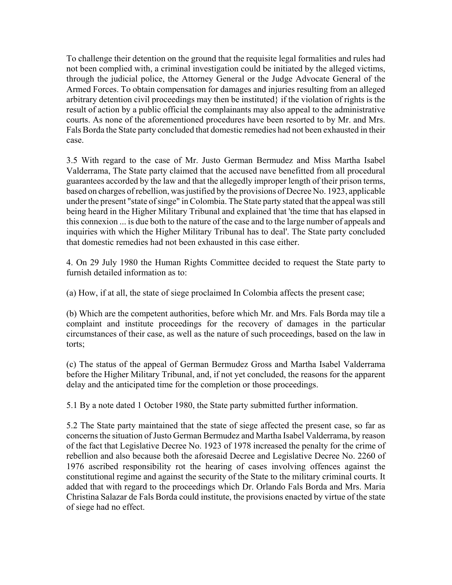To challenge their detention on the ground that the requisite legal formalities and rules had not been complied with, a criminal investigation could be initiated by the alleged victims, through the judicial police, the Attorney General or the Judge Advocate General of the Armed Forces. To obtain compensation for damages and injuries resulting from an alleged arbitrary detention civil proceedings may then be instituted} if the violation of rights is the result of action by a public official the complainants may also appeal to the administrative courts. As none of the aforementioned procedures have been resorted to by Mr. and Mrs. Fals Borda the State party concluded that domestic remedies had not been exhausted in their case.

3.5 With regard to the case of Mr. Justo German Bermudez and Miss Martha Isabel Valderrama, The State party claimed that the accused nave benefitted from all procedural guarantees accorded by the law and that the allegedly improper length of their prison terms, based on charges of rebellion, was justified by the provisions of Decree No. 1923, applicable under the present "state of singe" in Colombia. The State party stated that the appeal was still being heard in the Higher Military Tribunal and explained that 'the time that has elapsed in this connexion ... is due both to the nature of the case and to the large number of appeals and inquiries with which the Higher Military Tribunal has to deal'. The State party concluded that domestic remedies had not been exhausted in this case either.

4. On 29 July 1980 the Human Rights Committee decided to request the State party to furnish detailed information as to:

(a) How, if at all, the state of siege proclaimed In Colombia affects the present case;

(b) Which are the competent authorities, before which Mr. and Mrs. Fals Borda may tile a complaint and institute proceedings for the recovery of damages in the particular circumstances of their case, as well as the nature of such proceedings, based on the law in torts;

(c) The status of the appeal of German Bermudez Gross and Martha Isabel Valderrama before the Higher Military Tribunal, and, if not yet concluded, the reasons for the apparent delay and the anticipated time for the completion or those proceedings.

5.1 By a note dated 1 October 1980, the State party submitted further information.

5.2 The State party maintained that the state of siege affected the present case, so far as concerns the situation of Justo German Bermudez and Martha Isabel Valderrama, by reason of the fact that Legislative Decree No. 1923 of 1978 increased the penalty for the crime of rebellion and also because both the aforesaid Decree and Legislative Decree No. 2260 of 1976 ascribed responsibility rot the hearing of cases involving offences against the constitutional regime and against the security of the State to the military criminal courts. It added that with regard to the proceedings which Dr. Orlando Fals Borda and Mrs. Maria Christina Salazar de Fals Borda could institute, the provisions enacted by virtue of the state of siege had no effect.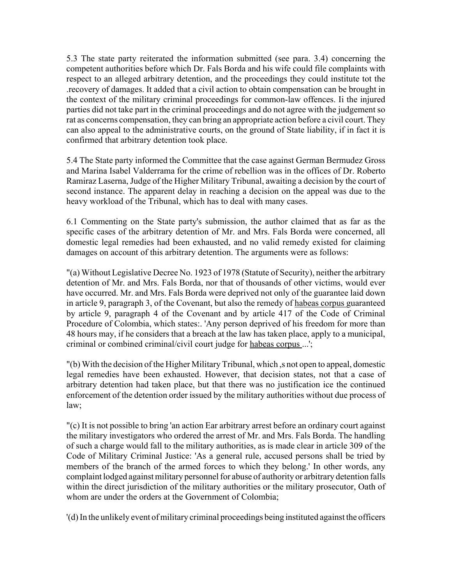5.3 The state party reiterated the information submitted (see para. 3.4) concerning the competent authorities before which Dr. Fals Borda and his wife could file complaints with respect to an alleged arbitrary detention, and the proceedings they could institute tot the .recovery of damages. It added that a civil action to obtain compensation can be brought in the context of the military criminal proceedings for common-law offences. Ii the injured parties did not take part in the criminal proceedings and do not agree with the judgement so rat as concerns compensation, they can bring an appropriate action before a civil court. They can also appeal to the administrative courts, on the ground of State liability, if in fact it is confirmed that arbitrary detention took place.

5.4 The State party informed the Committee that the case against German Bermudez Gross and Marina Isabel Valderrama for the crime of rebellion was in the offices of Dr. Roberto Ramiraz Laserna, Judge of the Higher Military Tribunal, awaiting a decision by the court of second instance. The apparent delay in reaching a decision on the appeal was due to the heavy workload of the Tribunal, which has to deal with many cases.

6.1 Commenting on the State party's submission, the author claimed that as far as the specific cases of the arbitrary detention of Mr. and Mrs. Fals Borda were concerned, all domestic legal remedies had been exhausted, and no valid remedy existed for claiming damages on account of this arbitrary detention. The arguments were as follows:

"(a) Without Legislative Decree No. 1923 of 1978 (Statute of Security), neither the arbitrary detention of Mr. and Mrs. Fals Borda, nor that of thousands of other victims, would ever have occurred. Mr. and Mrs. Fals Borda were deprived not only of the guarantee laid down in article 9, paragraph 3, of the Covenant, but also the remedy of habeas corpus guaranteed by article 9, paragraph 4 of the Covenant and by article 417 of the Code of Criminal Procedure of Colombia, which states:. 'Any person deprived of his freedom for more than 48 hours may, if he considers that a breach at the law has taken place, apply to a municipal, criminal or combined criminal/civil court judge for habeas corpus ...';

"(b) With the decision of the Higher Military Tribunal, which ,s not open to appeal, domestic legal remedies have been exhausted. However, that decision states, not that a case of arbitrary detention had taken place, but that there was no justification ice the continued enforcement of the detention order issued by the military authorities without due process of law;

"(c) It is not possible to bring 'an action Ear arbitrary arrest before an ordinary court against the military investigators who ordered the arrest of Mr. and Mrs. Fals Borda. The handling of such a charge would fall to the military authorities, as is made clear in article 309 of the Code of Military Criminal Justice: 'As a general rule, accused persons shall be tried by members of the branch of the armed forces to which they belong.' In other words, any complaint lodged against military personnel for abuse of authority or arbitrary detention falls within the direct jurisdiction of the military authorities or the military prosecutor, Oath of whom are under the orders at the Government of Colombia;

'(d) In the unlikely event of military criminal proceedings being instituted against the officers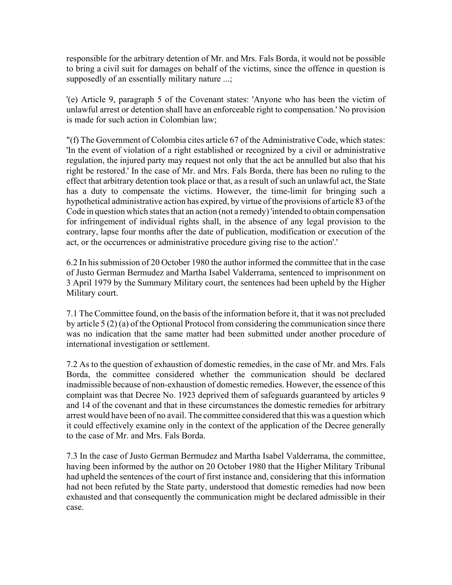responsible for the arbitrary detention of Mr. and Mrs. Fals Borda, it would not be possible to bring a civil suit for damages on behalf of the victims, since the offence in question is supposedly of an essentially military nature ...;

'(e) Article 9, paragraph 5 of the Covenant states: 'Anyone who has been the victim of unlawful arrest or detention shall have an enforceable right to compensation.' No provision is made for such action in Colombian law;

"(f) The Government of Colombia cites article 67 of the Administrative Code, which states: 'In the event of violation of a right established or recognized by a civil or administrative regulation, the injured party may request not only that the act be annulled but also that his right be restored.' In the case of Mr. and Mrs. Fals Borda, there has been no ruling to the effect that arbitrary detention took place or that, as a result of such an unlawful act, the State has a duty to compensate the victims. However, the time-limit for bringing such a hypothetical administrative action has expired, by virtue of the provisions of article 83 of the Code in question which states that an action (not a remedy) 'intended to obtain compensation for infringement of individual rights shall, in the absence of any legal provision to the contrary, lapse four months after the date of publication, modification or execution of the act, or the occurrences or administrative procedure giving rise to the action'.'

6.2 In his submission of 20 October 1980 the author informed the committee that in the case of Justo German Bermudez and Martha Isabel Valderrama, sentenced to imprisonment on 3 April 1979 by the Summary Military court, the sentences had been upheld by the Higher Military court.

7.1 The Committee found, on the basis of the information before it, that it was not precluded by article 5 (2) (a) of the Optional Protocol from considering the communication since there was no indication that the same matter had been submitted under another procedure of international investigation or settlement.

7.2 As to the question of exhaustion of domestic remedies, in the case of Mr. and Mrs. Fals Borda, the committee considered whether the communication should be declared inadmissible because of non-exhaustion of domestic remedies. However, the essence of this complaint was that Decree No. 1923 deprived them of safeguards guaranteed by articles 9 and 14 of the covenant and that in these circumstances the domestic remedies for arbitrary arrest would have been of no avail. The committee considered that this was a question which it could effectively examine only in the context of the application of the Decree generally to the case of Mr. and Mrs. Fals Borda.

7.3 In the case of Justo German Bermudez and Martha Isabel Valderrama, the committee, having been informed by the author on 20 October 1980 that the Higher Military Tribunal had upheld the sentences of the court of first instance and, considering that this information had not been refuted by the State party, understood that domestic remedies had now been exhausted and that consequently the communication might be declared admissible in their case.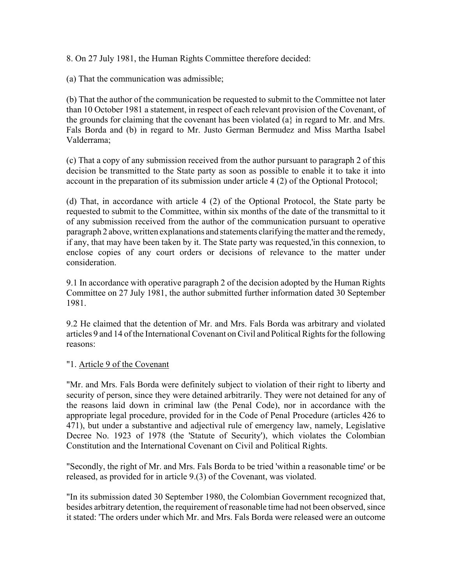8. On 27 July 1981, the Human Rights Committee therefore decided:

(a) That the communication was admissible;

(b) That the author of the communication be requested to submit to the Committee not later than 10 October 1981 a statement, in respect of each relevant provision of the Covenant, of the grounds for claiming that the covenant has been violated  $(a)$  in regard to Mr. and Mrs. Fals Borda and (b) in regard to Mr. Justo German Bermudez and Miss Martha Isabel Valderrama;

(c) That a copy of any submission received from the author pursuant to paragraph 2 of this decision be transmitted to the State party as soon as possible to enable it to take it into account in the preparation of its submission under article 4 (2) of the Optional Protocol;

(d) That, in accordance with article 4 (2) of the Optional Protocol, the State party be requested to submit to the Committee, within six months of the date of the transmittal to it of any submission received from the author of the communication pursuant to operative paragraph 2 above, written explanations and statements clarifying the matter and the remedy, if any, that may have been taken by it. The State party was requested,'in this connexion, to enclose copies of any court orders or decisions of relevance to the matter under consideration.

9.1 In accordance with operative paragraph 2 of the decision adopted by the Human Rights Committee on 27 July 1981, the author submitted further information dated 30 September 1981.

9.2 He claimed that the detention of Mr. and Mrs. Fals Borda was arbitrary and violated articles 9 and 14 of the International Covenant on Civil and Political Rights for the following reasons:

#### "1. Article 9 of the Covenant

"Mr. and Mrs. Fals Borda were definitely subject to violation of their right to liberty and security of person, since they were detained arbitrarily. They were not detained for any of the reasons laid down in criminal law (the Penal Code), nor in accordance with the appropriate legal procedure, provided for in the Code of Penal Procedure (articles 426 to 471), but under a substantive and adjectival rule of emergency law, namely, Legislative Decree No. 1923 of 1978 (the 'Statute of Security'), which violates the Colombian Constitution and the International Covenant on Civil and Political Rights.

"Secondly, the right of Mr. and Mrs. Fals Borda to be tried 'within a reasonable time' or be released, as provided for in article 9.(3) of the Covenant, was violated.

"In its submission dated 30 September 1980, the Colombian Government recognized that, besides arbitrary detention, the requirement of reasonable time had not been observed, since it stated: 'The orders under which Mr. and Mrs. Fals Borda were released were an outcome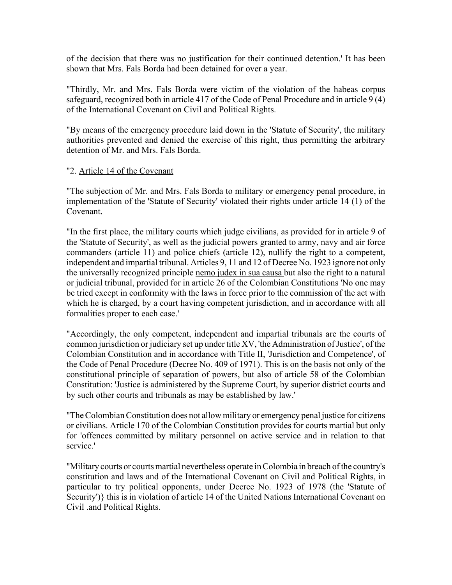of the decision that there was no justification for their continued detention.' It has been shown that Mrs. Fals Borda had been detained for over a year.

"Thirdly, Mr. and Mrs. Fals Borda were victim of the violation of the habeas corpus safeguard, recognized both in article 417 of the Code of Penal Procedure and in article 9 (4) of the International Covenant on Civil and Political Rights.

"By means of the emergency procedure laid down in the 'Statute of Security', the military authorities prevented and denied the exercise of this right, thus permitting the arbitrary detention of Mr. and Mrs. Fals Borda.

### "2. Article 14 of the Covenant

"The subjection of Mr. and Mrs. Fals Borda to military or emergency penal procedure, in implementation of the 'Statute of Security' violated their rights under article 14 (1) of the Covenant.

"In the first place, the military courts which judge civilians, as provided for in article 9 of the 'Statute of Security', as well as the judicial powers granted to army, navy and air force commanders (article 11) and police chiefs (article 12), nullify the right to a competent, independent and impartial tribunal. Articles 9, 11 and 12 of Decree No. 1923 ignore not only the universally recognized principle nemo judex in sua causa but also the right to a natural or judicial tribunal, provided for in article 26 of the Colombian Constitutions 'No one may be tried except in conformity with the laws in force prior to the commission of the act with which he is charged, by a court having competent jurisdiction, and in accordance with all formalities proper to each case.'

"Accordingly, the only competent, independent and impartial tribunals are the courts of common jurisdiction or judiciary set up under title XV, 'the Administration of Justice', of the Colombian Constitution and in accordance with Title II, 'Jurisdiction and Competence', of the Code of Penal Procedure (Decree No. 409 of 1971). This is on the basis not only of the constitutional principle of separation of powers, but also of article 58 of the Colombian Constitution: 'Justice is administered by the Supreme Court, by superior district courts and by such other courts and tribunals as may be established by law.'

"The Colombian Constitution does not allow military or emergency penal justice for citizens or civilians. Article 170 of the Colombian Constitution provides for courts martial but only for 'offences committed by military personnel on active service and in relation to that service.'

"Military courts or courts martial nevertheless operate in Colombia in breach of the country's constitution and laws and of the International Covenant on Civil and Political Rights, in particular to try political opponents, under Decree No. 1923 of 1978 (the 'Statute of Security')} this is in violation of article 14 of the United Nations International Covenant on Civil .and Political Rights.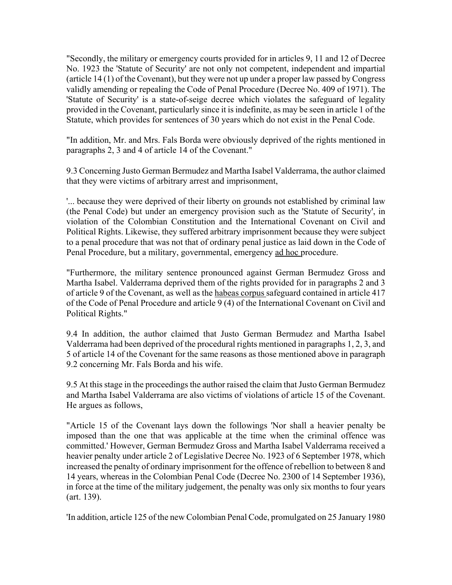"Secondly, the military or emergency courts provided for in articles 9, 11 and 12 of Decree No. 1923 the 'Statute of Security' are not only not competent, independent and impartial (article 14 (1) of the Covenant), but they were not up under a proper law passed by Congress validly amending or repealing the Code of Penal Procedure (Decree No. 409 of 1971). The 'Statute of Security' is a state-of-seige decree which violates the safeguard of legality provided in the Covenant, particularly since it is indefinite, as may be seen in article 1 of the Statute, which provides for sentences of 30 years which do not exist in the Penal Code.

"In addition, Mr. and Mrs. Fals Borda were obviously deprived of the rights mentioned in paragraphs 2, 3 and 4 of article 14 of the Covenant."

9.3 Concerning Justo German Bermudez and Martha Isabel Valderrama, the author claimed that they were victims of arbitrary arrest and imprisonment,

'... because they were deprived of their liberty on grounds not established by criminal law (the Penal Code) but under an emergency provision such as the 'Statute of Security', in violation of the Colombian Constitution and the International Covenant on Civil and Political Rights. Likewise, they suffered arbitrary imprisonment because they were subject to a penal procedure that was not that of ordinary penal justice as laid down in the Code of Penal Procedure, but a military, governmental, emergency ad hoc procedure.

"Furthermore, the military sentence pronounced against German Bermudez Gross and Martha Isabel. Valderrama deprived them of the rights provided for in paragraphs 2 and 3 of article 9 of the Covenant, as well as the habeas corpus safeguard contained in article 417 of the Code of Penal Procedure and article 9 (4) of the International Covenant on Civil and Political Rights."

9.4 In addition, the author claimed that Justo German Bermudez and Martha Isabel Valderrama had been deprived of the procedural rights mentioned in paragraphs 1, 2, 3, and 5 of article 14 of the Covenant for the same reasons as those mentioned above in paragraph 9.2 concerning Mr. Fals Borda and his wife.

9.5 At this stage in the proceedings the author raised the claim that Justo German Bermudez and Martha Isabel Valderrama are also victims of violations of article 15 of the Covenant. He argues as follows,

"Article 15 of the Covenant lays down the followings 'Nor shall a heavier penalty be imposed than the one that was applicable at the time when the criminal offence was committed.' However, German Bermudez Gross and Martha Isabel Valderrama received a heavier penalty under article 2 of Legislative Decree No. 1923 of 6 September 1978, which increased the penalty of ordinary imprisonment for the offence of rebellion to between 8 and 14 years, whereas in the Colombian Penal Code (Decree No. 2300 of 14 September 1936), in force at the time of the military judgement, the penalty was only six months to four years (art. 139).

'In addition, article 125 of the new Colombian Penal Code, promulgated on 25 January 1980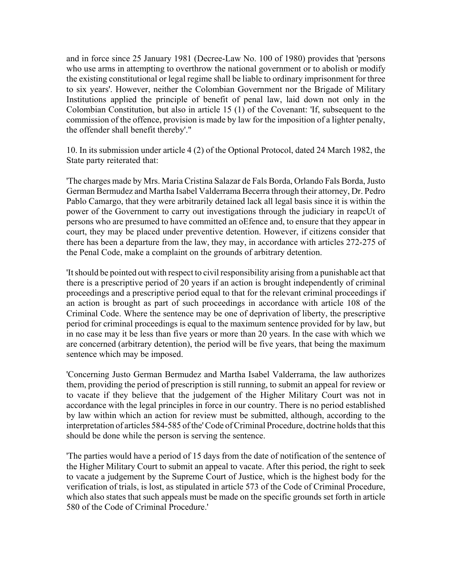and in force since 25 January 1981 (Decree-Law No. 100 of 1980) provides that 'persons who use arms in attempting to overthrow the national government or to abolish or modify the existing constitutional or legal regime shall be liable to ordinary imprisonment for three to six years'. However, neither the Colombian Government nor the Brigade of Military Institutions applied the principle of benefit of penal law, laid down not only in the Colombian Constitution, but also in article 15 (1) of the Covenant: 'If, subsequent to the commission of the offence, provision is made by law for the imposition of a lighter penalty, the offender shall benefit thereby'."

10. In its submission under article 4 (2) of the Optional Protocol, dated 24 March 1982, the State party reiterated that:

'The charges made by Mrs. Maria Cristina Salazar de Fals Borda, Orlando Fals Borda, Justo German Bermudez and Martha Isabel Valderrama Becerra through their attorney, Dr. Pedro Pablo Camargo, that they were arbitrarily detained lack all legal basis since it is within the power of the Government to carry out investigations through the judiciary in reapcUt of persons who are presumed to have committed an oEfence and, to ensure that they appear in court, they may be placed under preventive detention. However, if citizens consider that there has been a departure from the law, they may, in accordance with articles 272-275 of the Penal Code, make a complaint on the grounds of arbitrary detention.

'It should be pointed out with respect to civil responsibility arising from a punishable act that there is a prescriptive period of 20 years if an action is brought independently of criminal proceedings and a prescriptive period equal to that for the relevant criminal proceedings if an action is brought as part of such proceedings in accordance with article 108 of the Criminal Code. Where the sentence may be one of deprivation of liberty, the prescriptive period for criminal proceedings is equal to the maximum sentence provided for by law, but in no case may it be less than five years or more than 20 years. In the case with which we are concerned (arbitrary detention), the period will be five years, that being the maximum sentence which may be imposed.

'Concerning Justo German Bermudez and Martha Isabel Valderrama, the law authorizes them, providing the period of prescription is still running, to submit an appeal for review or to vacate if they believe that the judgement of the Higher Military Court was not in accordance with the legal principles in force in our country. There is no period established by law within which an action for review must be submitted, although, according to the interpretation of articles 584-585 of the' Code of Criminal Procedure, doctrine holds that this should be done while the person is serving the sentence.

'The parties would have a period of 15 days from the date of notification of the sentence of the Higher Military Court to submit an appeal to vacate. After this period, the right to seek to vacate a judgement by the Supreme Court of Justice, which is the highest body for the verification of trials, is lost, as stipulated in article 573 of the Code of Criminal Procedure, which also states that such appeals must be made on the specific grounds set forth in article 580 of the Code of Criminal Procedure.'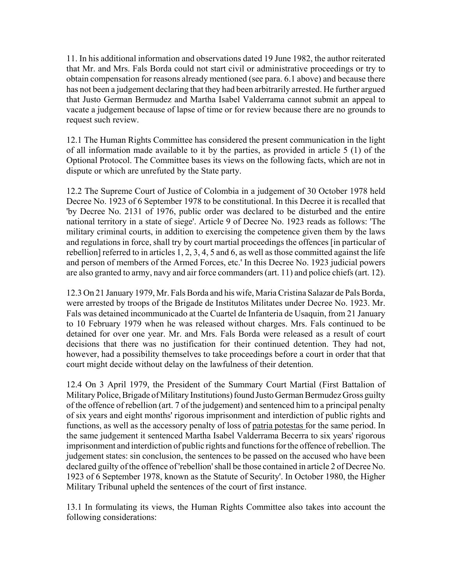11. In his additional information and observations dated 19 June 1982, the author reiterated that Mr. and Mrs. Fals Borda could not start civil or administrative proceedings or try to obtain compensation for reasons already mentioned (see para. 6.1 above) and because there has not been a judgement declaring that they had been arbitrarily arrested. He further argued that Justo German Bermudez and Martha Isabel Valderrama cannot submit an appeal to vacate a judgement because of lapse of time or for review because there are no grounds to request such review.

12.1 The Human Rights Committee has considered the present communication in the light of all information made available to it by the parties, as provided in article 5 (1) of the Optional Protocol. The Committee bases its views on the following facts, which are not in dispute or which are unrefuted by the State party.

12.2 The Supreme Court of Justice of Colombia in a judgement of 30 October 1978 held Decree No. 1923 of 6 September 1978 to be constitutional. In this Decree it is recalled that 'by Decree No. 2131 of 1976, public order was declared to be disturbed and the entire national territory in a state of siege'. Article 9 of Decree No. 1923 reads as follows: 'The military criminal courts, in addition to exercising the competence given them by the laws and regulations in force, shall try by court martial proceedings the offences [in particular of rebellion] referred to in articles 1, 2, 3, 4, 5 and 6, as well as those committed against the life and person of members of the Armed Forces, etc.' In this Decree No. 1923 judicial powers are also granted to army, navy and air force commanders (art. 11) and police chiefs (art. 12).

12.3 On 21 January 1979, Mr. Fals Borda and his wife, Maria Cristina Salazar de Pals Borda, were arrested by troops of the Brigade de Institutos Militates under Decree No. 1923. Mr. Fals was detained incommunicado at the Cuartel de Infanteria de Usaquin, from 21 January to 10 February 1979 when he was released without charges. Mrs. Fals continued to be detained for over one year. Mr. and Mrs. Fals Borda were released as a result of court decisions that there was no justification for their continued detention. They had not, however, had a possibility themselves to take proceedings before a court in order that that court might decide without delay on the lawfulness of their detention.

12.4 On 3 April 1979, the President of the Summary Court Martial (First Battalion of Military Police, Brigade of Military Institutions) found Justo German Bermudez Gross guilty of the offence of rebellion (art. 7 of the judgement) and sentenced him to a principal penalty of six years and eight months' rigorous imprisonment and interdiction of public rights and functions, as well as the accessory penalty of loss of patria potestas for the same period. In the same judgement it sentenced Martha Isabel Valderrama Becerra to six years' rigorous imprisonment and interdiction of public rights and functions for the offence of rebellion. The judgement states: sin conclusion, the sentences to be passed on the accused who have been declared guilty of the offence of 'rebellion' shall be those contained in article 2 of Decree No. 1923 of 6 September 1978, known as the Statute of Security'. In October 1980, the Higher Military Tribunal upheld the sentences of the court of first instance.

13.1 In formulating its views, the Human Rights Committee also takes into account the following considerations: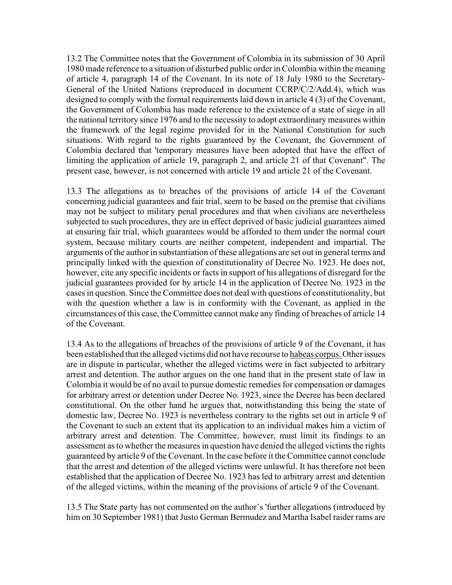13.2 The Committee notes that the Government of Colombia in its submission of 30 April 1980 made reference to a situation of disturbed public order in Colombia within the meaning of article 4, paragraph 14 of the Covenant. In its note of 18 July 1980 to the Secretary-General of the United Nations (reproduced in document CCRP/C/2/Add.4), which was designed to comply with the formal requirements laid down in article 4 (3) of the Covenant, the Government of Colombia has made reference to the existence of a state of siege in all the national territory since 1976 and to the necessity to adopt extraordinary measures within the framework of the legal regime provided for in the National Constitution for such situations. With regard to the rights guaranteed by the Covenant, the Government of Colombia declared that 'temporary measures have been adopted that have the effect of limiting the application of article 19, paragraph 2, and article 21 of that Covenant". The present case, however, is not concerned with article 19 and article 21 of the Covenant.

13.3 The allegations as to breaches of the provisions of article 14 of the Covenant concerning judicial guarantees and fair trial, seem to be based on the premise that civilians may not be subject to military penal procedures and that when civilians are nevertheless subjected to such procedures, they are in effect deprived of basic judicial guarantees aimed at ensuring fair trial, which guarantees would be afforded to them under the normal court system, because military courts are neither competent, independent and impartial. The arguments of the author in substantiation of these allegations are set out in general terms and principally linked with the question of constitutionality of Decree No. 1923. He does not, however, cite any specific incidents or facts in support of his allegations of disregard for the judicial guarantees provided for by article 14 in the application of Decree No. 1923 in the cases in question. Since the Committee does not deal with questions of constitutionality, but with the question whether a law is in conformity with the Covenant, as applied in the circumstances of this case, the Committee cannot make any finding of breaches of article 14 of the Covenant.

13.4 As to the allegations of breaches of the provisions of article 9 of the Covenant, it has been established that the alleged victims did not have recourse to habeas corpus. Other issues are in dispute in particular, whether the alleged victims were in fact subjected to arbitrary arrest and detention. The author argues on the one hand that in the present state of law in Colombia it would be of no avail to pursue domestic remedies for compensation or damages for arbitrary arrest or detention under Decree No. 1923, since the Decree has been declared constitutional. On the other hand he argues that, notwithstanding this being the state of domestic law, Decree No. 1923 is nevertheless contrary to the rights set out in article 9 of the Covenant to such an extent that its application to an individual makes him a victim of arbitrary arrest and detention. The Committee, however, must limit its findings to an assessment as to whether the measures in question have denied the alleged victims the rights guaranteed by article 9 of the Covenant. In the case before it the Committee cannot conclude that the arrest and detention of the alleged victims were unlawful. It has therefore not been established that the application of Decree No. 1923 has led to arbitrary arrest and detention of the alleged victims, within the meaning of the provisions of article 9 of the Covenant.

13.5 The State party has not commented on the author's 'further allegations (introduced by him on 30 September 1981) that Justo German Bermudez and Martha Isabel raider rams are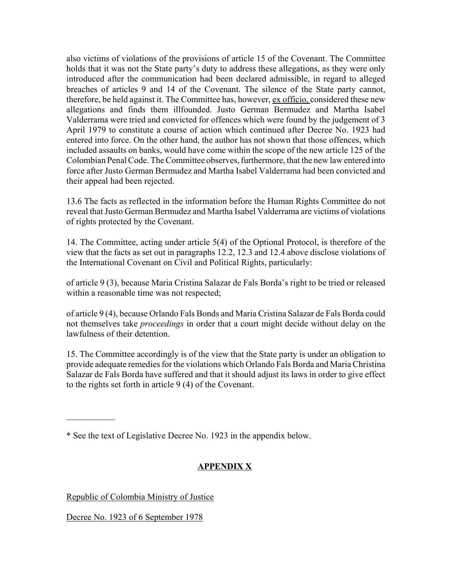also victims of violations of the provisions of article 15 of the Covenant. The Committee holds that it was not the State party's duty to address these allegations, as they were only introduced after the communication had been declared admissible, in regard to alleged breaches of articles 9 and 14 of the Covenant. The silence of the State party cannot, therefore, be held against it. The Committee has, however, ex officio, considered these new allegations and finds them illfounded. Justo German Bermudez and Martha Isabel Valderrama were tried and convicted for offences which were found by the judgement of 3 April 1979 to constitute a course of action which continued after Decree No. 1923 had entered into force. On the other hand, the author has not shown that those offences, which included assaults on banks, would have come within the scope of the new article 125 of the Colombian Penal Code. The Committee observes, furthermore, that the new law entered into force after Justo German Bermudez and Martha Isabel Valderrama had been convicted and their appeal had been rejected.

13.6 The facts as reflected in the information before the Human Rights Committee do not reveal that Justo German Bermudez and Martha Isabel Valderrama are victims of violations of rights protected by the Covenant.

14. The Committee, acting under article 5(4) of the Optional Protocol, is therefore of the view that the facts as set out in paragraphs 12.2, 12.3 and 12.4 above disclose violations of the International Covenant on Civil and Political Rights, particularly:

of article 9 (3), because Maria Cristina Salazar de Fals Borda's right to be tried or released within a reasonable time was not respected;

of article 9 (4), because Orlando Fals Bonds and Maria Cristina Salazar de Fals Borda could not themselves take *proceedings* in order that a court might decide without delay on the lawfulness of their detention.

15. The Committee accordingly is of the view that the State party is under an obligation to provide adequate remedies for the violations which Orlando Fals Borda and Maria Christina Salazar de Fals Borda have suffered and that it should adjust its laws in order to give effect to the rights set forth in article 9 (4) of the Covenant.

\* See the text of Legislative Decree No. 1923 in the appendix below.

# **APPENDIX X**

Republic of Colombia Ministry of Justice

Decree No. 1923 of 6 September 1978

 $\mathcal{L}_\text{max}$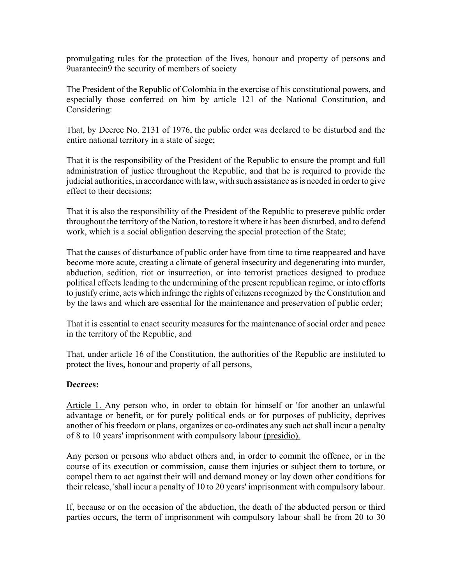promulgating rules for the protection of the lives, honour and property of persons and 9uaranteein9 the security of members of society

The President of the Republic of Colombia in the exercise of his constitutional powers, and especially those conferred on him by article 121 of the National Constitution, and Considering:

That, by Decree No. 2131 of 1976, the public order was declared to be disturbed and the entire national territory in a state of siege;

That it is the responsibility of the President of the Republic to ensure the prompt and full administration of justice throughout the Republic, and that he is required to provide the judicial authorities, in accordance with law, with such assistance as is needed in order to give effect to their decisions;

That it is also the responsibility of the President of the Republic to presereve public order throughout the territory of the Nation, to restore it where it has been disturbed, and to defend work, which is a social obligation deserving the special protection of the State;

That the causes of disturbance of public order have from time to time reappeared and have become more acute, creating a climate of general insecurity and degenerating into murder, abduction, sedition, riot or insurrection, or into terrorist practices designed to produce political effects leading to the undermining of the present republican regime, or into efforts to justify crime, acts which infringe the rights of citizens recognized by the Constitution and by the laws and which are essential for the maintenance and preservation of public order;

That it is essential to enact security measures for the maintenance of social order and peace in the territory of the Republic, and

That, under article 16 of the Constitution, the authorities of the Republic are instituted to protect the lives, honour and property of all persons,

#### **Decrees:**

Article 1. Any person who, in order to obtain for himself or 'for another an unlawful advantage or benefit, or for purely political ends or for purposes of publicity, deprives another of his freedom or plans, organizes or co-ordinates any such act shall incur a penalty of 8 to 10 years' imprisonment with compulsory labour (presidio).

Any person or persons who abduct others and, in order to commit the offence, or in the course of its execution or commission, cause them injuries or subject them to torture, or compel them to act against their will and demand money or lay down other conditions for their release, 'shall incur a penalty of 10 to 20 years' imprisonment with compulsory labour.

If, because or on the occasion of the abduction, the death of the abducted person or third parties occurs, the term of imprisonment wih compulsory labour shall be from 20 to 30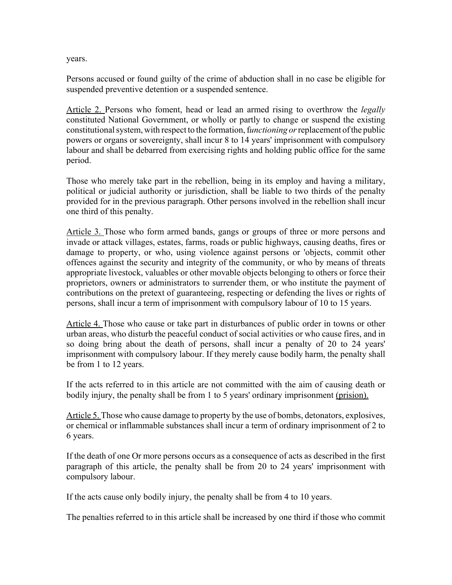years.

Persons accused or found guilty of the crime of abduction shall in no case be eligible for suspended preventive detention or a suspended sentence.

Article 2. Persons who foment, head or lead an armed rising to overthrow the *legally* constituted National Government, or wholly or partly to change or suspend the existing constitutional system, with respect to the formation, f*unctioning or* replacement of the public powers or organs or sovereignty, shall incur 8 to 14 years' imprisonment with compulsory labour and shall be debarred from exercising rights and holding public office for the same period.

Those who merely take part in the rebellion, being in its employ and having a military, political or judicial authority or jurisdiction, shall be liable to two thirds of the penalty provided for in the previous paragraph. Other persons involved in the rebellion shall incur one third of this penalty.

Article 3. Those who form armed bands, gangs or groups of three or more persons and invade or attack villages, estates, farms, roads or public highways, causing deaths, fires or damage to property, or who, using violence against persons or 'objects, commit other offences against the security and integrity of the community, or who by means of threats appropriate livestock, valuables or other movable objects belonging to others or force their proprietors, owners or administrators to surrender them, or who institute the payment of contributions on the pretext of guaranteeing, respecting or defending the lives or rights of persons, shall incur a term of imprisonment with compulsory labour of 10 to 15 years.

Article 4. Those who cause or take part in disturbances of public order in towns or other urban areas, who disturb the peaceful conduct of social activities or who cause fires, and in so doing bring about the death of persons, shall incur a penalty of 20 to 24 years' imprisonment with compulsory labour. If they merely cause bodily harm, the penalty shall be from 1 to 12 years.

If the acts referred to in this article are not committed with the aim of causing death or bodily injury, the penalty shall be from 1 to 5 years' ordinary imprisonment (prision).

Article 5. Those who cause damage to property by the use of bombs, detonators, explosives, or chemical or inflammable substances shall incur a term of ordinary imprisonment of 2 to 6 years.

If the death of one Or more persons occurs as a consequence of acts as described in the first paragraph of this article, the penalty shall be from 20 to 24 years' imprisonment with compulsory labour.

If the acts cause only bodily injury, the penalty shall be from 4 to 10 years.

The penalties referred to in this article shall be increased by one third if those who commit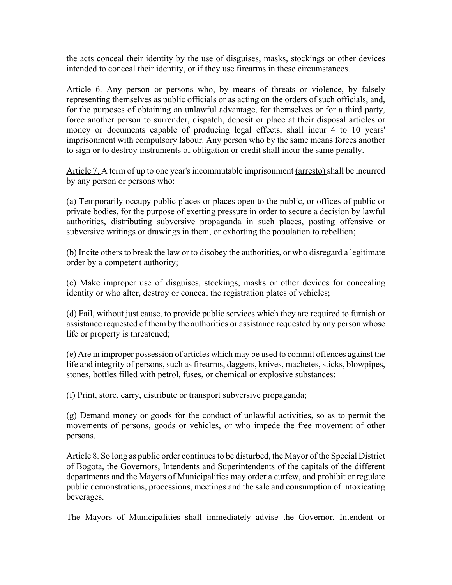the acts conceal their identity by the use of disguises, masks, stockings or other devices intended to conceal their identity, or if they use firearms in these circumstances.

Article 6. Any person or persons who, by means of threats or violence, by falsely representing themselves as public officials or as acting on the orders of such officials, and, for the purposes of obtaining an unlawful advantage, for themselves or for a third party, force another person to surrender, dispatch, deposit or place at their disposal articles or money or documents capable of producing legal effects, shall incur 4 to 10 years' imprisonment with compulsory labour. Any person who by the same means forces another to sign or to destroy instruments of obligation or credit shall incur the same penalty.

Article 7. A term of up to one year's incommutable imprisonment (arresto) shall be incurred by any person or persons who:

(a) Temporarily occupy public places or places open to the public, or offices of public or private bodies, for the purpose of exerting pressure in order to secure a decision by lawful authorities, distributing subversive propaganda in such places, posting offensive or subversive writings or drawings in them, or exhorting the population to rebellion;

(b) Incite others to break the law or to disobey the authorities, or who disregard a legitimate order by a competent authority;

(c) Make improper use of disguises, stockings, masks or other devices for concealing identity or who alter, destroy or conceal the registration plates of vehicles;

(d) Fail, without just cause, to provide public services which they are required to furnish or assistance requested of them by the authorities or assistance requested by any person whose life or property is threatened;

(e) Are in improper possession of articles which may be used to commit offences against the life and integrity of persons, such as firearms, daggers, knives, machetes, sticks, blowpipes, stones, bottles filled with petrol, fuses, or chemical or explosive substances;

(f) Print, store, carry, distribute or transport subversive propaganda;

(g) Demand money or goods for the conduct of unlawful activities, so as to permit the movements of persons, goods or vehicles, or who impede the free movement of other persons.

Article 8. So long as public order continues to be disturbed, the Mayor of the Special District of Bogota, the Governors, Intendents and Superintendents of the capitals of the different departments and the Mayors of Municipalities may order a curfew, and prohibit or regulate public demonstrations, processions, meetings and the sale and consumption of intoxicating beverages.

The Mayors of Municipalities shall immediately advise the Governor, Intendent or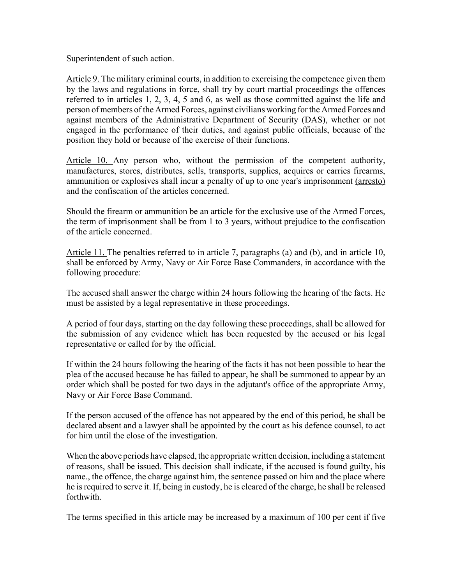Superintendent of such action.

Article 9. The military criminal courts, in addition to exercising the competence given them by the laws and regulations in force, shall try by court martial proceedings the offences referred to in articles 1, 2, 3, 4, 5 and 6, as well as those committed against the life and person of members of the Armed Forces, against civilians working for the Armed Forces and against members of the Administrative Department of Security (DAS), whether or not engaged in the performance of their duties, and against public officials, because of the position they hold or because of the exercise of their functions.

Article 10. Any person who, without the permission of the competent authority, manufactures, stores, distributes, sells, transports, supplies, acquires or carries firearms, ammunition or explosives shall incur a penalty of up to one year's imprisonment (arresto) and the confiscation of the articles concerned.

Should the firearm or ammunition be an article for the exclusive use of the Armed Forces, the term of imprisonment shall be from 1 to 3 years, without prejudice to the confiscation of the article concerned.

Article 11. The penalties referred to in article 7, paragraphs (a) and (b), and in article 10, shall be enforced by Army, Navy or Air Force Base Commanders, in accordance with the following procedure:

The accused shall answer the charge within 24 hours following the hearing of the facts. He must be assisted by a legal representative in these proceedings.

A period of four days, starting on the day following these proceedings, shall be allowed for the submission of any evidence which has been requested by the accused or his legal representative or called for by the official.

If within the 24 hours following the hearing of the facts it has not been possible to hear the plea of the accused because he has failed to appear, he shall be summoned to appear by an order which shall be posted for two days in the adjutant's office of the appropriate Army, Navy or Air Force Base Command.

If the person accused of the offence has not appeared by the end of this period, he shall be declared absent and a lawyer shall be appointed by the court as his defence counsel, to act for him until the close of the investigation.

When the above periods have elapsed, the appropriate written decision, including a statement of reasons, shall be issued. This decision shall indicate, if the accused is found guilty, his name., the offence, the charge against him, the sentence passed on him and the place where he is required to serve it. If, being in custody, he is cleared of the charge, he shall be released forthwith.

The terms specified in this article may be increased by a maximum of 100 per cent if five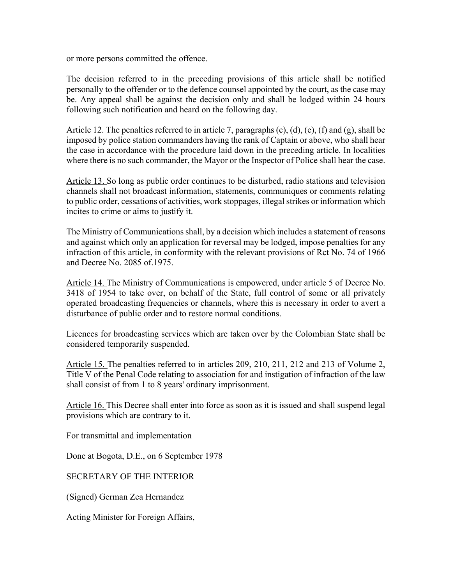or more persons committed the offence.

The decision referred to in the preceding provisions of this article shall be notified personally to the offender or to the defence counsel appointed by the court, as the case may be. Any appeal shall be against the decision only and shall be lodged within 24 hours following such notification and heard on the following day.

Article 12. The penalties referred to in article 7, paragraphs (c), (d), (e), (f) and (g), shall be imposed by police station commanders having the rank of Captain or above, who shall hear the case in accordance with the procedure laid down in the preceding article. In localities where there is no such commander, the Mayor or the Inspector of Police shall hear the case.

Article 13. So long as public order continues to be disturbed, radio stations and television channels shall not broadcast information, statements, communiques or comments relating to public order, cessations of activities, work stoppages, illegal strikes or information which incites to crime or aims to justify it.

The Ministry of Communications shall, by a decision which includes a statement of reasons and against which only an application for reversal may be lodged, impose penalties for any infraction of this article, in conformity with the relevant provisions of Rct No. 74 of 1966 and Decree No. 2085 of.1975.

Article 14. The Ministry of Communications is empowered, under article 5 of Decree No. 3418 of 1954 to take over, on behalf of the State, full control of some or all privately operated broadcasting frequencies or channels, where this is necessary in order to avert a disturbance of public order and to restore normal conditions.

Licences for broadcasting services which are taken over by the Colombian State shall be considered temporarily suspended.

Article 15. The penalties referred to in articles 209, 210, 211, 212 and 213 of Volume 2, Title V of the Penal Code relating to association for and instigation of infraction of the law shall consist of from 1 to 8 years' ordinary imprisonment.

Article 16. This Decree shall enter into force as soon as it is issued and shall suspend legal provisions which are contrary to it.

For transmittal and implementation

Done at Bogota, D.E., on 6 September 1978

SECRETARY OF THE INTERIOR

(Signed) German Zea Hernandez

Acting Minister for Foreign Affairs,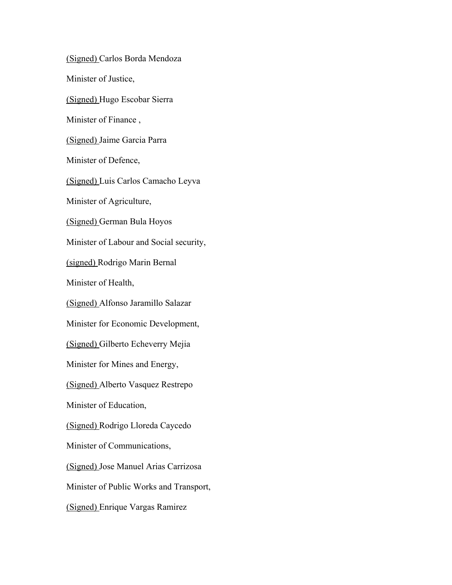(Signed) Carlos Borda Mendoza Minister of Justice, (Signed) Hugo Escobar Sierra Minister of Finance , (Signed) Jaime Garcia Parra Minister of Defence, (Signed) Luis Carlos Camacho Leyva Minister of Agriculture, (Signed) German Bula Hoyos Minister of Labour and Social security, (signed) Rodrigo Marin Bernal Minister of Health, (Signed) Alfonso Jaramillo Salazar Minister for Economic Development, (Signed) Gilberto Echeverry Mejia Minister for Mines and Energy, (Signed) Alberto Vasquez Restrepo Minister of Education, (Signed) Rodrigo Lloreda Caycedo Minister of Communications, (Signed) Jose Manuel Arias Carrizosa Minister of Public Works and Transport, (Signed) Enrique Vargas Ramirez